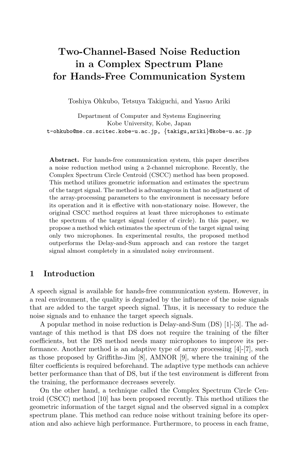# **Two-Channel-Based Noise Reduction in a Complex Spectrum Plane for Hands-Free Communication System**

Toshiya Ohkubo, Tetsuya Takiguchi, and Yasuo Ariki

Department of Computer and Systems Engineering Kobe University, Kobe, Japan t-ohkubo@me.cs.scitec.kobe-u.ac.jp, *{*takigu,ariki*}*@kobe-u.ac.jp

**Abstract.** For hands-free communication system, this paper describes a noise reduction method using a 2-channel microphone. Recently, the Complex Spectrum Circle Centroid (CSCC) method has been proposed. This method utilizes geometric information and estimates the spectrum of the target signal. The method is advantageous in that no adjustment of the array-processing parameters to the environment is necessary before its operation and it is effective with non-stationary noise. However, the original CSCC method requires at least three microphones to estimate the spectrum of the target signal (center of circle). In this paper, we propose a method which estimates the spectrum of the target signal using only two microphones. In experimental results, the proposed method outperforms the Delay-and-Sum approach and can restore the target signal almost completely in a simulated noisy environment.

# **1 Introduction**

A speech signal is available for hands-free communication system. However, in a real environment, the quality is degraded by the influence of the noise signals that are added to the target speech signal. Thus, it is necessary to reduce the noise signals and to enhance the target speech signals.

A popular method in noise reduction is Delay-and-Sum (DS) [1]-[3]. The advantage of this method is that DS does not require the training of the filter coefficients, but the DS method needs many microphones to improve its performance. Another method is an adaptive type of array processing [4]-[7], such as those proposed by Griffiths-Jim [8], AMNOR [9], where the training of the filter coefficients is required beforehand. The adaptive type methods can achieve better performance than that of DS, but if the test environment is different from the training, the performance decreases severely.

On the other hand, a technique called the Complex Spectrum Circle Centroid (CSCC) method [10] has been proposed recently. This method utilizes the geometric information of the target signal and the observed signal in a complex spectrum plane. This method can reduce noise without training before its operation and also achieve high performance. Furthermore, to process in each frame,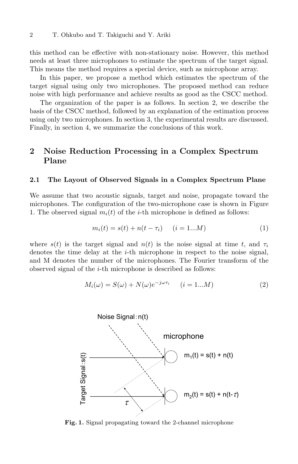this method can be effective with non-stationary noise. However, this method needs at least three microphones to estimate the spectrum of the target signal. This means the method requires a special device, such as microphone array.

In this paper, we propose a method which estimates the spectrum of the target signal using only two microphones. The proposed method can reduce noise with high performance and achieve results as good as the CSCC method.

The organization of the paper is as follows. In section 2, we describe the basis of the CSCC method, followed by an explanation of the estimation process using only two microphones. In section 3, the experimental results are discussed. Finally, in section 4, we summarize the conclusions of this work.

# **2 Noise Reduction Processing in a Complex Spectrum Plane**

#### **2.1 The Layout of Observed Signals in a Complex Spectrum Plane**

We assume that two acoustic signals, target and noise, propagate toward the microphones. The configuration of the two-microphone case is shown in Figure 1. The observed signal  $m_i(t)$  of the *i*-th microphone is defined as follows:

$$
m_i(t) = s(t) + n(t - \tau_i) \qquad (i = 1...M)
$$
 (1)

where  $s(t)$  is the target signal and  $n(t)$  is the noise signal at time *t*, and  $\tau_i$ denotes the time delay at the *i*-th microphone in respect to the noise signal, and M denotes the number of the microphones. The Fourier transform of the observed signal of the *i*-th microphone is described as follows:

$$
M_i(\omega) = S(\omega) + N(\omega)e^{-j\omega \tau_i} \qquad (i = 1...M)
$$
\n(2)



**Fig. 1.** Signal propagating toward the 2-channel microphone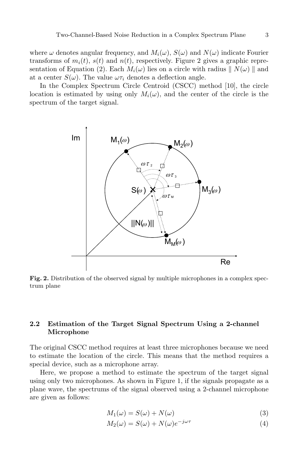where  $\omega$  denotes angular frequency, and  $M_i(\omega)$ ,  $S(\omega)$  and  $N(\omega)$  indicate Fourier transforms of  $m_i(t)$ ,  $s(t)$  and  $n(t)$ , respectively. Figure 2 gives a graphic representation of Equation (2). Each  $M_i(\omega)$  lies on a circle with radius  $\parallel N(\omega) \parallel$  and at a center  $S(\omega)$ . The value  $\omega \tau_i$  denotes a deflection angle.

In the Complex Spectrum Circle Centroid (CSCC) method [10], the circle location is estimated by using only  $M_i(\omega)$ , and the center of the circle is the spectrum of the target signal.



**Fig. 2.** Distribution of the observed signal by multiple microphones in a complex spectrum plane

## **2.2 Estimation of the Target Signal Spectrum Using a 2-channel Microphone**

The original CSCC method requires at least three microphones because we need to estimate the location of the circle. This means that the method requires a special device, such as a microphone array.

Here, we propose a method to estimate the spectrum of the target signal using only two microphones. As shown in Figure 1, if the signals propagate as a plane wave, the spectrums of the signal observed using a 2-channel microphone are given as follows:

$$
M_1(\omega) = S(\omega) + N(\omega)
$$
\n(3)

$$
M_2(\omega) = S(\omega) + N(\omega)e^{-j\omega\tau}
$$
\n(4)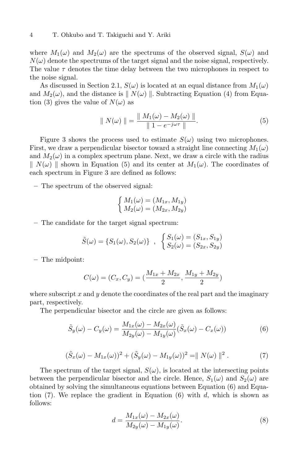where  $M_1(\omega)$  and  $M_2(\omega)$  are the spectrums of the observed signal,  $S(\omega)$  and  $N(\omega)$  denote the spectrums of the target signal and the noise signal, respectively. The value *τ* denotes the time delay between the two microphones in respect to the noise signal.

As discussed in Section 2.1,  $S(\omega)$  is located at an equal distance from  $M_1(\omega)$ and  $M_2(\omega)$ , and the distance is  $\| N(\omega) \|$ . Subtracting Equation (4) from Equation (3) gives the value of  $N(\omega)$  as

$$
\| N(\omega) \| = \frac{\| M_1(\omega) - M_2(\omega) \|}{\| 1 - e^{-j\omega \tau} \|}.
$$
 (5)

Figure 3 shows the process used to estimate  $S(\omega)$  using two microphones. First, we draw a perpendicular bisector toward a straight line connecting  $M_1(\omega)$ and  $M_2(\omega)$  in a complex spectrum plane. Next, we draw a circle with the radius *| N*(*ω*) *|* shown in Equation (5) and its center at  $M_1(\omega)$ . The coordinates of each spectrum in Figure 3 are defined as follows:

**–** The spectrum of the observed signal:

$$
\begin{cases}\nM_1(\omega) = (M_{1x}, M_{1y}) \\
M_2(\omega) = (M_{2x}, M_{2y})\n\end{cases}
$$

**–** The candidate for the target signal spectrum:

$$
\tilde{S}(\omega) = \{S_1(\omega), S_2(\omega)\}\ ,\ \begin{cases}\nS_1(\omega) = (S_{1x}, S_{1y}) \\
S_2(\omega) = (S_{2x}, S_{2y})\n\end{cases}
$$

**–** The midpoint:

$$
C(\omega) = (C_x, C_y) = (\frac{M_{1x} + M_{2x}}{2}, \frac{M_{1y} + M_{2y}}{2})
$$

where subscript *x* and *y* denote the coordinates of the real part and the imaginary part, respectively.

The perpendicular bisector and the circle are given as follows:

$$
\tilde{S}_y(\omega) - C_y(\omega) = \frac{M_{1x}(\omega) - M_{2x}(\omega)}{M_{2y}(\omega) - M_{1y}(\omega)} (\tilde{S}_x(\omega) - C_x(\omega))
$$
\n(6)

$$
(\tilde{S}_x(\omega) - M_{1x}(\omega))^2 + (\tilde{S}_y(\omega) - M_{1y}(\omega))^2 = || N(\omega) ||^2.
$$
 (7)

The spectrum of the target signal,  $S(\omega)$ , is located at the intersecting points between the perpendicular bisector and the circle. Hence,  $S_1(\omega)$  and  $S_2(\omega)$  are obtained by solving the simultaneous equations between Equation (6) and Equation (7). We replace the gradient in Equation (6) with *d*, which is shown as follows:

$$
d = \frac{M_{1x}(\omega) - M_{2x}(\omega)}{M_{2y}(\omega) - M_{1y}(\omega)}.
$$
\n(8)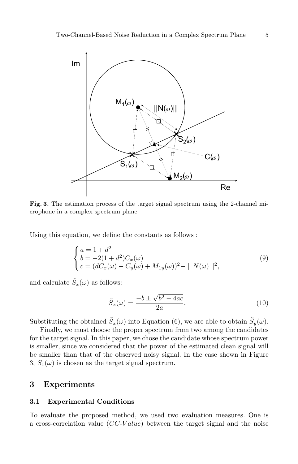

**Fig. 3.** The estimation process of the target signal spectrum using the 2-channel microphone in a complex spectrum plane

Using this equation, we define the constants as follows :

$$
\begin{cases}\na = 1 + d^2 \\
b = -2(1 + d^2)C_x(\omega) \\
c = (dC_x(\omega) - C_y(\omega) + M_{1y}(\omega))^2 - ||N(\omega)||^2,\n\end{cases}
$$
\n(9)

and calculate  $\tilde{S}_x(\omega)$  as follows:

$$
\tilde{S}_x(\omega) = \frac{-b \pm \sqrt{b^2 - 4ac}}{2a}.
$$
\n(10)

Substituting the obtained  $\tilde{S}_x(\omega)$  into Equation (6), we are able to obtain  $\tilde{S}_y(\omega)$ .

Finally, we must choose the proper spectrum from two among the candidates for the target signal. In this paper, we chose the candidate whose spectrum power is smaller, since we considered that the power of the estimated clean signal will be smaller than that of the observed noisy signal. In the case shown in Figure 3,  $S_1(\omega)$  is chosen as the target signal spectrum.

# **3 Experiments**

#### **3.1 Experimental Conditions**

To evaluate the proposed method, we used two evaluation measures. One is a cross-correlation value (*CC*-*V alue*) between the target signal and the noise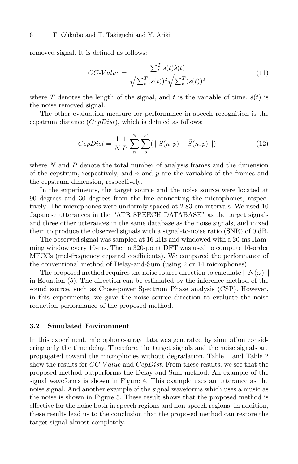removed signal. It is defined as follows:

$$
CC\text{-}Value = \frac{\sum_{t}^{T} s(t)\tilde{s}(t)}{\sqrt{\sum_{t}^{T} (s(t))^{2}} \sqrt{\sum_{t}^{T} (\tilde{s}(t))^{2}}}
$$
(11)

where *T* denotes the length of the signal, and *t* is the variable of time.  $\tilde{s}(t)$  is the noise removed signal.

The other evaluation measure for performance in speech recognition is the cepstrum distance (*CepDist*), which is defined as follows:

$$
CepDist = \frac{1}{N} \frac{1}{P} \sum_{n=1}^{N} \sum_{p}^{P} (\parallel S(n, p) - \tilde{S}(n, p) \parallel)
$$
 (12)

where *N* and *P* denote the total number of analysis frames and the dimension of the cepstrum, respectively, and *n* and *p* are the variables of the frames and the cepstrum dimension, respectively.

In the experiments, the target source and the noise source were located at 90 degrees and 30 degrees from the line connecting the microphones, respectively. The microphones were uniformly spaced at 2.83-cm intervals. We used 10 Japanese utterances in the "ATR SPEECH DATABASE" as the target signals and three other utterances in the same database as the noise signals, and mixed them to produce the observed signals with a signal-to-noise ratio (SNR) of 0 dB.

The observed signal was sampled at 16 kHz and windowed with a 20-ms Hamming window every 10-ms. Then a 320-point DFT was used to compute 16-order MFCCs (mel-frequency cepstral coefficients). We compared the performance of the conventional method of Delay-and-Sum (using 2 or 14 microphones).

The proposed method requires the noise source direction to calculate  $\parallel N(\omega) \parallel$ in Equation (5). The direction can be estimated by the inference method of the sound source, such as Cross-power Spectrum Phase analysis (CSP). However, in this experiments, we gave the noise source direction to evaluate the noise reduction performance of the proposed method.

#### **3.2 Simulated Environment**

In this experiment, microphone-array data was generated by simulation considering only the time delay. Therefore, the target signals and the noise signals are propagated toward the microphones without degradation. Table 1 and Table 2 show the results for *CC*-*V alue* and *CepDist*. From these results, we see that the proposed method outperforms the Delay-and-Sum method. An example of the signal waveforms is shown in Figure 4. This example uses an utterance as the noise signal. And another example of the signal waveforms which uses a music as the noise is shown in Figure 5. These result shows that the proposed method is effective for the noise both in speech regions and non-speech regions. In addition, these results lead us to the conclusion that the proposed method can restore the target signal almost completely.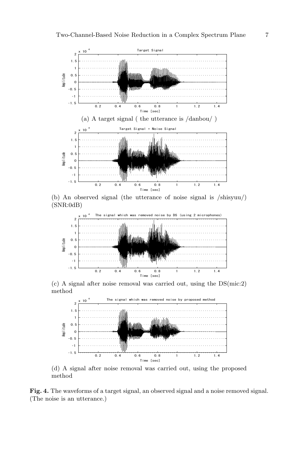

(b) An observed signal (the utterance of noise signal is /shisyuu/) (SNR:0dB)



(c) A signal after noise removal was carried out, using the DS(mic:2) method



(d) A signal after noise removal was carried out, using the proposed method

**Fig. 4.** The waveforms of a target signal, an observed signal and a noise removed signal. (The noise is an utterance.)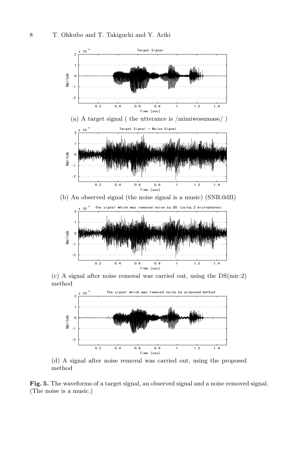

(c) A signal after noise removal was carried out, using the DS(mic:2) method



(d) A signal after noise removal was carried out, using the proposed method

**Fig. 5.** The waveforms of a target signal, an observed signal and a noise removed signal. (The noise is a music.)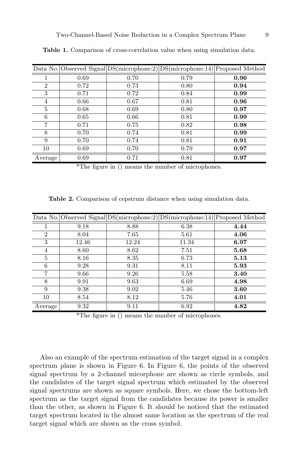|                |      |      | Data No. Observed Signal DS(microphone:2) DS(microphone:14) Proposed Method |      |
|----------------|------|------|-----------------------------------------------------------------------------|------|
|                | 0.69 | 0.70 | 0.79                                                                        | 0.96 |
| $\overline{2}$ | 0.72 | 0.73 | 0.80                                                                        | 0.94 |
| 3              | 0.71 | 0.72 | 0.84                                                                        | 0.99 |
| 4              | 0.66 | 0.67 | 0.81                                                                        | 0.96 |
| 5              | 0.68 | 0.69 | 0.80                                                                        | 0.97 |
| 6              | 0.65 | 0.66 | 0.81                                                                        | 0.99 |
| 7              | 0.71 | 0.75 | 0.82                                                                        | 0.98 |
| 8              | 0.70 | 0.74 | 0.81                                                                        | 0.99 |
| 9              | 0.70 | 0.74 | 0.81                                                                        | 0.91 |
| 10             | 0.69 | 0.70 | 0.79                                                                        | 0.97 |
| Average        | 0.69 | 0.71 | 0.81                                                                        | 0.97 |

**Table 1.** Comparison of cross-correlation value when using simulation data.

\*The figure in () means the number of microphones.

**Table 2.** Comparison of cepstrum distance when using simulation data.

|                |       |       | Data No. Observed Signal DS(microphone:2) DS(microphone:14) Proposed Method |      |
|----------------|-------|-------|-----------------------------------------------------------------------------|------|
|                | 9.18  | 8.88  | 6.38                                                                        | 4.44 |
| $\overline{2}$ | 8.04  | 7.65  | 5.61                                                                        | 4.06 |
| 3              | 12.46 | 12.24 | 11.34                                                                       | 6.97 |
| 4              | 8.60  | 8.62  | 7.51                                                                        | 5.68 |
| 5              | 8.16  | 8.35  | 6.73                                                                        | 5.13 |
| 6              | 9.28  | 9.31  | 8.11                                                                        | 5.93 |
| 7              | 9.66  | 9.26  | 5.58                                                                        | 3.40 |
| 8              | 9.91  | 9.63  | 6.69                                                                        | 4.98 |
| 9              | 9.38  | 9.02  | 5.46                                                                        | 3.60 |
| 10             | 8.54  | 8.12  | 5.76                                                                        | 4.01 |
| Average        | 9.32  | 9.11  | 6.92                                                                        | 4.82 |

\*The figure in () means the number of microphones.

Also an example of the spectrum estimation of the target signal in a complex spectrum plane is shown in Figure 6. In Figure 6, the points of the observed signal spectrum by a 2-channel micorphone are shown as circle symbols, and the candidates of the target signal spectrum which estimated by the observed signal spectrums are shown as square symbols. Here, we chose the bottom-left spectrum as the target signal from the candidates because its power is smaller than the other, as shown in Figure 6. It should be noticed that the estimated target spectrum located in the almost same location as the spectrum of the real target signal which are shown as the cross symbol.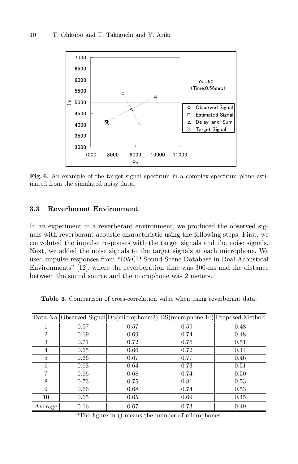

**Fig. 6.** An example of the target signal spectrum in a complex spectrum plane estimated from the simulated noisy data.

#### **3.3 Reverberant Environment**

In an experiment in a reverberant environment, we produced the observed signals with reverberant acoustic characteristic using the following steps. First, we convoluted the impulse responses with the target signals and the noise signals. Next, we added the noise signals to the target signals at each microphone. We used impulse responses from "RWCP Sound Scene Database in Real Acoustical Environments" [12], where the reverberation time was 300-ms and the distance between the sound source and the microphone was 2 meters.

**Table 3.** Comparison of cross-correlation value when using reverberant data.

|                |      |      | Data No. Observed Signal DS(microphone:2) DS(microphone:14) Proposed Method |      |
|----------------|------|------|-----------------------------------------------------------------------------|------|
|                | 0.57 | 0.57 | 0.59                                                                        | 0.48 |
| $\overline{2}$ | 0.69 | 0.69 | 0.74                                                                        | 0.48 |
| 3              | 0.71 | 0.72 | 0.76                                                                        | 0.51 |
| $\overline{4}$ | 0.65 | 0.66 | 0.72                                                                        | 0.44 |
| 5              | 0.66 | 0.67 | 0.77                                                                        | 0.46 |
| 6              | 0.63 | 0.64 | 0.73                                                                        | 0.51 |
| 7              | 0.66 | 0.68 | 0.74                                                                        | 0.50 |
| 8              | 0.73 | 0.75 | 0.81                                                                        | 0.53 |
| 9              | 0.66 | 0.68 | 0.74                                                                        | 0.53 |
| 10             | 0.65 | 0.65 | 0.69                                                                        | 0.45 |
| Average        | 0.66 | 0.67 | 0.73                                                                        | 0.49 |

\*The figure in () means the number of microphones.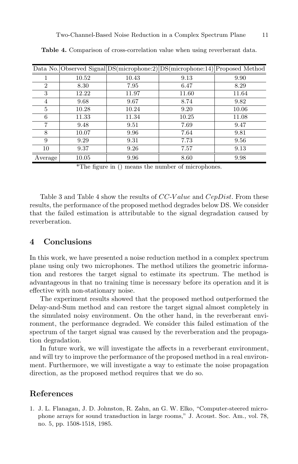|                |       |       | Data No. Observed Signal DS(microphone:2) DS(microphone:14) Proposed Method |       |
|----------------|-------|-------|-----------------------------------------------------------------------------|-------|
|                | 10.52 | 10.43 | 9.13                                                                        | 9.90  |
| $\overline{2}$ | 8.30  | 7.95  | 6.47                                                                        | 8.29  |
| 3              | 12.22 | 11.97 | 11.60                                                                       | 11.64 |
| 4              | 9.68  | 9.67  | 8.74                                                                        | 9.82  |
| 5              | 10.28 | 10.24 | 9.20                                                                        | 10.06 |
| 6              | 11.33 | 11.34 | 10.25                                                                       | 11.08 |
| 7              | 9.48  | 9.51  | 7.69                                                                        | 9.47  |
| 8              | 10.07 | 9.96  | 7.64                                                                        | 9.81  |
| 9              | 9.29  | 9.31  | 7.73                                                                        | 9.56  |
| 10             | 9.37  | 9.26  | 7.57                                                                        | 9.13  |
| Average        | 10.05 | 9.96  | 8.60                                                                        | 9.98  |

**Table 4.** Comparison of cross-correlation value when using reverberant data.

\*The figure in () means the number of microphones.

Table 3 and Table 4 show the results of *CC*-*V alue* and *CepDist*. From these results, the performance of the proposed method degrades below DS. We consider that the failed estimation is attributable to the signal degradation caused by reverberation.

## **4 Conclusions**

In this work, we have presented a noise reduction method in a complex spectrum plane using only two microphones. The method utilizes the geometric information and restores the target signal to estimate its spectrum. The method is advantageous in that no training time is necessary before its operation and it is effective with non-stationary noise.

The experiment results showed that the proposed method outperformed the Delay-and-Sum method and can restore the target signal almost completely in the simulated noisy environment. On the other hand, in the reverberant environment, the performance degraded. We consider this failed estimation of the spectrum of the target signal was caused by the reverberation and the propagation degradation.

In future work, we will investigate the affects in a reverberant environment, and will try to improve the performance of the proposed method in a real environment. Furthermore, we will investigate a way to estimate the noise propagation direction, as the proposed method requires that we do so.

# **References**

1. J. L. Flanagan, J. D. Johnston, R. Zahn, an G. W. Elko, "Computer-steered microphone arrays for sound transduction in large rooms," J. Acoust. Soc. Am., vol. 78, no. 5, pp. 1508-1518, 1985.